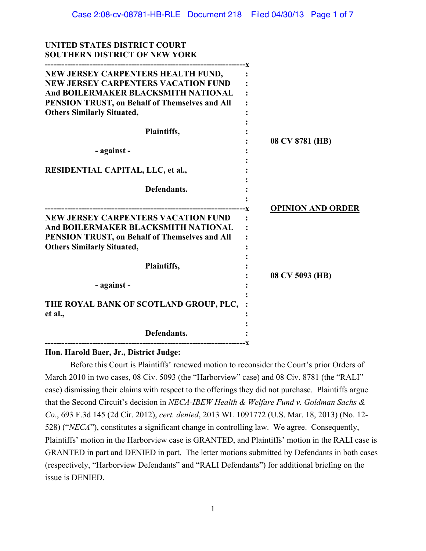| UNITED STATES DISTRICT COURT<br><b>SOUTHERN DISTRICT OF NEW YORK</b>                                                                                                     |                          |
|--------------------------------------------------------------------------------------------------------------------------------------------------------------------------|--------------------------|
| NEW JERSEY CARPENTERS HEALTH FUND,<br><b>NEW JERSEY CARPENTERS VACATION FUND</b><br>And BOILERMAKER BLACKSMITH NATIONAL                                                  |                          |
| PENSION TRUST, on Behalf of Themselves and All<br><b>Others Similarly Situated,</b>                                                                                      |                          |
| Plaintiffs,                                                                                                                                                              | 08 CV 8781 (HB)          |
| - against -                                                                                                                                                              |                          |
| <b>RESIDENTIAL CAPITAL, LLC, et al.,</b>                                                                                                                                 |                          |
| Defendants.                                                                                                                                                              |                          |
| <b>NEW JERSEY CARPENTERS VACATION FUND</b><br>And BOILERMAKER BLACKSMITH NATIONAL<br>PENSION TRUST, on Behalf of Themselves and All<br><b>Others Similarly Situated,</b> | <b>OPINION AND ORDER</b> |
| Plaintiffs,                                                                                                                                                              | 08 CV 5093 (HB)          |
| - against -                                                                                                                                                              |                          |
| THE ROYAL BANK OF SCOTLAND GROUP, PLC,<br>et al.,                                                                                                                        |                          |
| Defendants.                                                                                                                                                              |                          |
|                                                                                                                                                                          |                          |

## **Hon. Harold Baer, Jr., District Judge:**

**UNITED STATES DISTRICT COURT** 

Before this Court is Plaintiffs' renewed motion to reconsider the Court's prior Orders of March 2010 in two cases, 08 Civ. 5093 (the "Harborview" case) and 08 Civ. 8781 (the "RALI" case) dismissing their claims with respect to the offerings they did not purchase. Plaintiffs argue that the Second Circuit's decision in *NECA-IBEW Health & Welfare Fund v. Goldman Sachs & Co.*, 693 F.3d 145 (2d Cir. 2012), *cert. denied*, 2013 WL 1091772 (U.S. Mar. 18, 2013) (No. 12- 528) ("*NECA*"), constitutes a significant change in controlling law. We agree. Consequently, Plaintiffs' motion in the Harborview case is GRANTED, and Plaintiffs' motion in the RALI case is GRANTED in part and DENIED in part. The letter motions submitted by Defendants in both cases (respectively, "Harborview Defendants" and "RALI Defendants") for additional briefing on the issue is DENIED.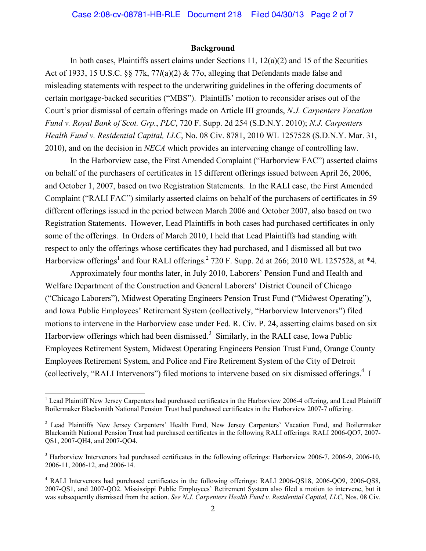#### **Background**

In both cases, Plaintiffs assert claims under Sections 11,  $12(a)(2)$  and 15 of the Securities Act of 1933, 15 U.S.C. §§ 77k, 77*l*(a)(2) & 77o, alleging that Defendants made false and misleading statements with respect to the underwriting guidelines in the offering documents of certain mortgage-backed securities ("MBS"). Plaintiffs' motion to reconsider arises out of the Court's prior dismissal of certain offerings made on Article III grounds, *N.J. Carpenters Vacation Fund v. Royal Bank of Scot. Grp.*, *PLC*, 720 F. Supp. 2d 254 (S.D.N.Y. 2010); *N.J. Carpenters Health Fund v. Residential Capital, LLC*, No. 08 Civ. 8781, 2010 WL 1257528 (S.D.N.Y. Mar. 31, 2010), and on the decision in *NECA* which provides an intervening change of controlling law.

In the Harborview case, the First Amended Complaint ("Harborview FAC") asserted claims on behalf of the purchasers of certificates in 15 different offerings issued between April 26, 2006, and October 1, 2007, based on two Registration Statements. In the RALI case, the First Amended Complaint ("RALI FAC") similarly asserted claims on behalf of the purchasers of certificates in 59 different offerings issued in the period between March 2006 and October 2007, also based on two Registration Statements. However, Lead Plaintiffs in both cases had purchased certificates in only some of the offerings. In Orders of March 2010, I held that Lead Plaintiffs had standing with respect to only the offerings whose certificates they had purchased, and I dismissed all but two Harborview offerings<sup>1</sup> and four RALI offerings.<sup>2</sup> 720 F. Supp. 2d at 266; 2010 WL 1257528, at  $*4$ .

Approximately four months later, in July 2010, Laborers' Pension Fund and Health and Welfare Department of the Construction and General Laborers' District Council of Chicago ("Chicago Laborers"), Midwest Operating Engineers Pension Trust Fund ("Midwest Operating"), and Iowa Public Employees' Retirement System (collectively, "Harborview Intervenors") filed motions to intervene in the Harborview case under Fed. R. Civ. P. 24, asserting claims based on six Harborview offerings which had been dismissed.<sup>3</sup> Similarly, in the RALI case, Iowa Public Employees Retirement System, Midwest Operating Engineers Pension Trust Fund, Orange County Employees Retirement System, and Police and Fire Retirement System of the City of Detroit (collectively, "RALI Intervenors") filed motions to intervene based on six dismissed offerings.<sup>4</sup> I

 $\overline{a}$ 

<sup>&</sup>lt;sup>1</sup> Lead Plaintiff New Jersey Carpenters had purchased certificates in the Harborview 2006-4 offering, and Lead Plaintiff Boilermaker Blacksmith National Pension Trust had purchased certificates in the Harborview 2007-7 offering.

<sup>&</sup>lt;sup>2</sup> Lead Plaintiffs New Jersey Carpenters' Health Fund, New Jersey Carpenters' Vacation Fund, and Boilermaker Blacksmith National Pension Trust had purchased certificates in the following RALI offerings: RALI 2006-QO7, 2007- QS1, 2007-QH4, and 2007-QO4.

<sup>&</sup>lt;sup>3</sup> Harborview Intervenors had purchased certificates in the following offerings: Harborview 2006-7, 2006-9, 2006-10, 2006-11, 2006-12, and 2006-14.

<sup>4</sup> RALI Intervenors had purchased certificates in the following offerings: RALI 2006-QS18, 2006-QO9, 2006-QS8, 2007-QS1, and 2007-QO2. Mississippi Public Employees' Retirement System also filed a motion to intervene, but it was subsequently dismissed from the action. *See N.J. Carpenters Health Fund v. Residential Capital, LLC*, Nos. 08 Civ.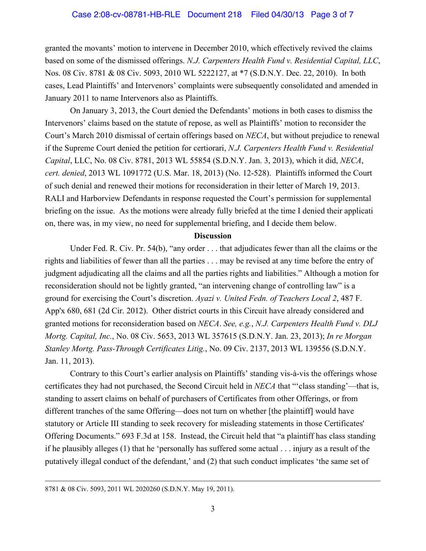granted the movants' motion to intervene in December 2010, which effectively revived the claims based on some of the dismissed offerings. *N.J. Carpenters Health Fund v. Residential Capital, LLC*, Nos. 08 Civ. 8781 & 08 Civ. 5093, 2010 WL 5222127, at \*7 (S.D.N.Y. Dec. 22, 2010). In both cases, Lead Plaintiffs' and Intervenors' complaints were subsequently consolidated and amended in January 2011 to name Intervenors also as Plaintiffs.

On January 3, 2013, the Court denied the Defendants' motions in both cases to dismiss the Intervenors' claims based on the statute of repose, as well as Plaintiffs' motion to reconsider the Court's March 2010 dismissal of certain offerings based on *NECA*, but without prejudice to renewal if the Supreme Court denied the petition for certiorari, *N.J. Carpenters Health Fund v. Residential Capital*, LLC, No. 08 Civ. 8781, 2013 WL 55854 (S.D.N.Y. Jan. 3, 2013), which it did, *NECA*, *cert. denied*, 2013 WL 1091772 (U.S. Mar. 18, 2013) (No. 12-528). Plaintiffs informed the Court of such denial and renewed their motions for reconsideration in their letter of March 19, 2013. RALI and Harborview Defendants in response requested the Court's permission for supplemental briefing on the issue. As the motions were already fully briefed at the time I denied their applicati on, there was, in my view, no need for supplemental briefing, and I decide them below.

#### **Discussion**

Under Fed. R. Civ. Pr. 54(b), "any order . . . that adjudicates fewer than all the claims or the rights and liabilities of fewer than all the parties . . . may be revised at any time before the entry of judgment adjudicating all the claims and all the parties rights and liabilities." Although a motion for reconsideration should not be lightly granted, "an intervening change of controlling law" is a ground for exercising the Court's discretion. *Ayazi v. United Fedn. of Teachers Local 2*, 487 F. App'x 680, 681 (2d Cir. 2012). Other district courts in this Circuit have already considered and granted motions for reconsideration based on *NECA*. *See, e.g.*, *N.J. Carpenters Health Fund v. DLJ Mortg. Capital, Inc.*, No. 08 Civ. 5653, 2013 WL 357615 (S.D.N.Y. Jan. 23, 2013); *In re Morgan Stanley Mortg. Pass-Through Certificates Litig.*, No. 09 Civ. 2137, 2013 WL 139556 (S.D.N.Y. Jan. 11, 2013).

Contrary to this Court's earlier analysis on Plaintiffs' standing vis-à-vis the offerings whose certificates they had not purchased, the Second Circuit held in *NECA* that "'class standing'—that is, standing to assert claims on behalf of purchasers of Certificates from other Offerings, or from different tranches of the same Offering—does not turn on whether [the plaintiff] would have statutory or Article III standing to seek recovery for misleading statements in those Certificates' Offering Documents." 693 F.3d at 158. Instead, the Circuit held that "a plaintiff has class standing if he plausibly alleges (1) that he 'personally has suffered some actual . . . injury as a result of the putatively illegal conduct of the defendant,' and (2) that such conduct implicates 'the same set of

 <sup>8781 &</sup>amp; 08 Civ. 5093, 2011 WL 2020260 (S.D.N.Y. May 19, 2011).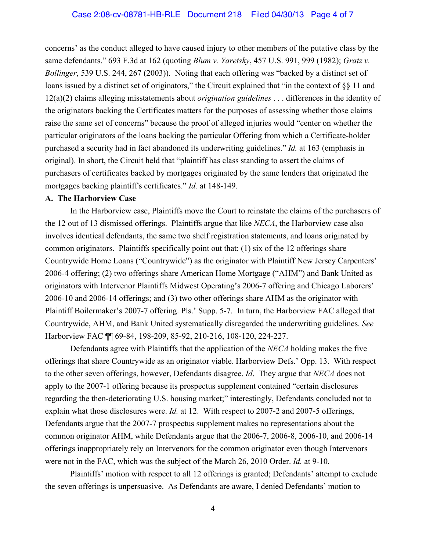concerns' as the conduct alleged to have caused injury to other members of the putative class by the same defendants." 693 F.3d at 162 (quoting *Blum v. Yaretsky*, 457 U.S. 991, 999 (1982); *Gratz v. Bollinger*, 539 U.S. 244, 267 (2003)). Noting that each offering was "backed by a distinct set of loans issued by a distinct set of originators," the Circuit explained that "in the context of §§ 11 and 12(a)(2) claims alleging misstatements about *origination guidelines* . . . differences in the identity of the originators backing the Certificates matters for the purposes of assessing whether those claims raise the same set of concerns" because the proof of alleged injuries would "center on whether the particular originators of the loans backing the particular Offering from which a Certificate-holder purchased a security had in fact abandoned its underwriting guidelines." *Id.* at 163 (emphasis in original). In short, the Circuit held that "plaintiff has class standing to assert the claims of purchasers of certificates backed by mortgages originated by the same lenders that originated the mortgages backing plaintiff's certificates." *Id.* at 148-149.

#### **A. The Harborview Case**

In the Harborview case, Plaintiffs move the Court to reinstate the claims of the purchasers of the 12 out of 13 dismissed offerings. Plaintiffs argue that like *NECA*, the Harborview case also involves identical defendants, the same two shelf registration statements, and loans originated by common originators. Plaintiffs specifically point out that: (1) six of the 12 offerings share Countrywide Home Loans ("Countrywide") as the originator with Plaintiff New Jersey Carpenters' 2006-4 offering; (2) two offerings share American Home Mortgage ("AHM") and Bank United as originators with Intervenor Plaintiffs Midwest Operating's 2006-7 offering and Chicago Laborers' 2006-10 and 2006-14 offerings; and (3) two other offerings share AHM as the originator with Plaintiff Boilermaker's 2007-7 offering. Pls.' Supp. 5-7. In turn, the Harborview FAC alleged that Countrywide, AHM, and Bank United systematically disregarded the underwriting guidelines. *See*  Harborview FAC ¶¶ 69-84, 198-209, 85-92, 210-216, 108-120, 224-227.

Defendants agree with Plaintiffs that the application of the *NECA* holding makes the five offerings that share Countrywide as an originator viable. Harborview Defs.' Opp. 13. With respect to the other seven offerings, however, Defendants disagree. *Id*. They argue that *NECA* does not apply to the 2007-1 offering because its prospectus supplement contained "certain disclosures regarding the then-deteriorating U.S. housing market;" interestingly, Defendants concluded not to explain what those disclosures were. *Id.* at 12. With respect to 2007-2 and 2007-5 offerings, Defendants argue that the 2007-7 prospectus supplement makes no representations about the common originator AHM, while Defendants argue that the 2006-7, 2006-8, 2006-10, and 2006-14 offerings inappropriately rely on Intervenors for the common originator even though Intervenors were not in the FAC, which was the subject of the March 26, 2010 Order. *Id.* at 9-10.

Plaintiffs' motion with respect to all 12 offerings is granted; Defendants' attempt to exclude the seven offerings is unpersuasive. As Defendants are aware, I denied Defendants' motion to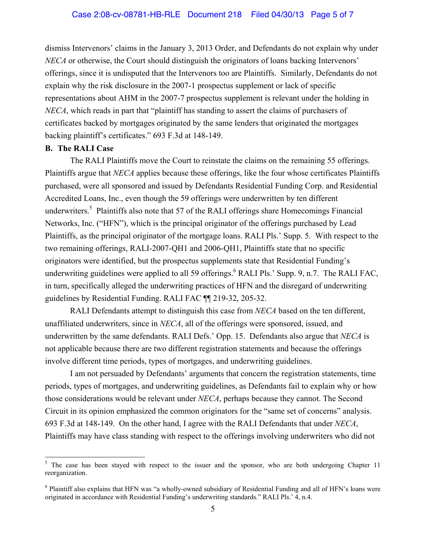dismiss Intervenors' claims in the January 3, 2013 Order, and Defendants do not explain why under *NECA* or otherwise, the Court should distinguish the originators of loans backing Intervenors' offerings, since it is undisputed that the Intervenors too are Plaintiffs. Similarly, Defendants do not explain why the risk disclosure in the 2007-1 prospectus supplement or lack of specific representations about AHM in the 2007-7 prospectus supplement is relevant under the holding in *NECA*, which reads in part that "plaintiff has standing to assert the claims of purchasers of certificates backed by mortgages originated by the same lenders that originated the mortgages backing plaintiff's certificates." 693 F.3d at 148-149.

### **B. The RALI Case**

 $\overline{a}$ 

The RALI Plaintiffs move the Court to reinstate the claims on the remaining 55 offerings. Plaintiffs argue that *NECA* applies because these offerings, like the four whose certificates Plaintiffs purchased, were all sponsored and issued by Defendants Residential Funding Corp. and Residential Accredited Loans, Inc., even though the 59 offerings were underwritten by ten different underwriters.<sup>5</sup> Plaintiffs also note that 57 of the RALI offerings share Homecomings Financial Networks, Inc. ("HFN"), which is the principal originator of the offerings purchased by Lead Plaintiffs, as the principal originator of the mortgage loans. RALI Pls.' Supp. 5. With respect to the two remaining offerings, RALI-2007-QH1 and 2006-QH1, Plaintiffs state that no specific originators were identified, but the prospectus supplements state that Residential Funding's underwriting guidelines were applied to all 59 offerings.<sup>6</sup> RALI Pls.' Supp. 9, n.7. The RALI FAC, in turn, specifically alleged the underwriting practices of HFN and the disregard of underwriting guidelines by Residential Funding. RALI FAC ¶¶ 219-32, 205-32.

RALI Defendants attempt to distinguish this case from *NECA* based on the ten different, unaffiliated underwriters, since in *NECA*, all of the offerings were sponsored, issued, and underwritten by the same defendants. RALI Defs.' Opp. 15. Defendants also argue that *NECA* is not applicable because there are two different registration statements and because the offerings involve different time periods, types of mortgages, and underwriting guidelines.

I am not persuaded by Defendants' arguments that concern the registration statements, time periods, types of mortgages, and underwriting guidelines, as Defendants fail to explain why or how those considerations would be relevant under *NECA*, perhaps because they cannot. The Second Circuit in its opinion emphasized the common originators for the "same set of concerns" analysis. 693 F.3d at 148-149. On the other hand, I agree with the RALI Defendants that under *NECA*, Plaintiffs may have class standing with respect to the offerings involving underwriters who did not

<sup>&</sup>lt;sup>5</sup> The case has been stayed with respect to the issuer and the sponsor, who are both undergoing Chapter 11 reorganization.

<sup>&</sup>lt;sup>6</sup> Plaintiff also explains that HFN was "a wholly-owned subsidiary of Residential Funding and all of HFN's loans were originated in accordance with Residential Funding's underwriting standards." RALI Pls.' 4, n.4.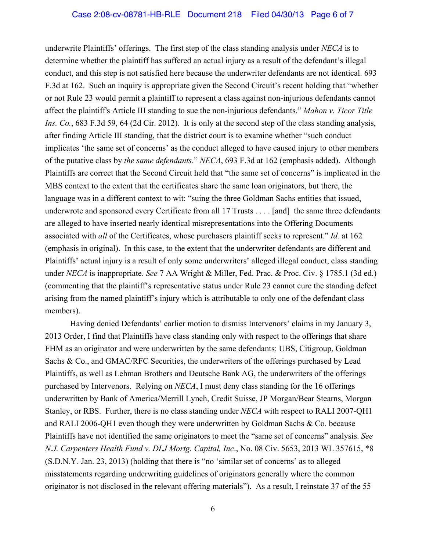underwrite Plaintiffs' offerings. The first step of the class standing analysis under *NECA* is to determine whether the plaintiff has suffered an actual injury as a result of the defendant's illegal conduct, and this step is not satisfied here because the underwriter defendants are not identical. 693 F.3d at 162. Such an inquiry is appropriate given the Second Circuit's recent holding that "whether or not Rule 23 would permit a plaintiff to represent a class against non-injurious defendants cannot affect the plaintiff's Article III standing to sue the non-injurious defendants." *Mahon v. Ticor Title Ins. Co.*, 683 F.3d 59, 64 (2d Cir. 2012). It is only at the second step of the class standing analysis, after finding Article III standing, that the district court is to examine whether "such conduct implicates 'the same set of concerns' as the conduct alleged to have caused injury to other members of the putative class by *the same defendants*." *NECA*, 693 F.3d at 162 (emphasis added).Although Plaintiffs are correct that the Second Circuit held that "the same set of concerns" is implicated in the MBS context to the extent that the certificates share the same loan originators, but there, the language was in a different context to wit: "suing the three Goldman Sachs entities that issued, underwrote and sponsored every Certificate from all 17 Trusts . . . . [and] the same three defendants are alleged to have inserted nearly identical misrepresentations into the Offering Documents associated with *all* of the Certificates, whose purchasers plaintiff seeks to represent." *Id.* at 162 (emphasis in original). In this case, to the extent that the underwriter defendants are different and Plaintiffs' actual injury is a result of only some underwriters' alleged illegal conduct, class standing under *NECA* is inappropriate. *See* 7 AA Wright & Miller, Fed. Prac. & Proc. Civ. § 1785.1 (3d ed.) (commenting that the plaintiff's representative status under Rule 23 cannot cure the standing defect arising from the named plaintiff's injury which is attributable to only one of the defendant class members).

Having denied Defendants' earlier motion to dismiss Intervenors' claims in my January 3, 2013 Order, I find that Plaintiffs have class standing only with respect to the offerings that share FHM as an originator and were underwritten by the same defendants: UBS, Citigroup, Goldman Sachs & Co., and GMAC/RFC Securities, the underwriters of the offerings purchased by Lead Plaintiffs, as well as Lehman Brothers and Deutsche Bank AG, the underwriters of the offerings purchased by Intervenors. Relying on *NECA*, I must deny class standing for the 16 offerings underwritten by Bank of America/Merrill Lynch, Credit Suisse, JP Morgan/Bear Stearns, Morgan Stanley, or RBS. Further, there is no class standing under *NECA* with respect to RALI 2007-QH1 and RALI 2006-QH1 even though they were underwritten by Goldman Sachs & Co. because Plaintiffs have not identified the same originators to meet the "same set of concerns" analysis. *See N.J. Carpenters Health Fund v. DLJ Mortg. Capital, Inc*., No. 08 Civ. 5653, 2013 WL 357615, \*8 (S.D.N.Y. Jan. 23, 2013) (holding that there is "no 'similar set of concerns' as to alleged misstatements regarding underwriting guidelines of originators generally where the common originator is not disclosed in the relevant offering materials"). As a result, I reinstate 37 of the 55